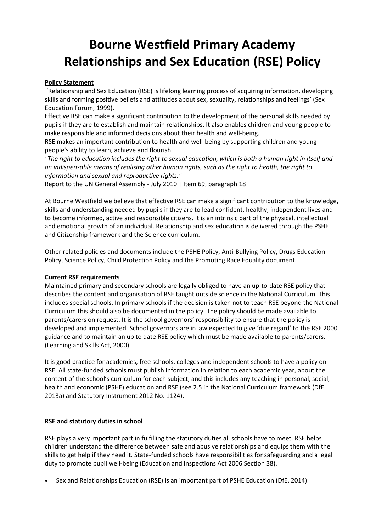# **Bourne Westfield Primary Academy Relationships and Sex Education (RSE) Policy**

# **Policy Statement**

'Relationship and Sex Education (RSE) is lifelong learning process of acquiring information, developing skills and forming positive beliefs and attitudes about sex, sexuality, relationships and feelings' (Sex Education Forum, 1999).

Effective RSE can make a significant contribution to the development of the personal skills needed by pupils if they are to establish and maintain relationships. It also enables children and young people to make responsible and informed decisions about their health and well-being.

RSE makes an important contribution to health and well-being by supporting children and young people's ability to learn, achieve and flourish.

*"The right to education includes the right to sexual education, which is both a human right in itself and an indispensable means of realising other human rights, such as the right to health, the right to information and sexual and reproductive rights."*

Report to the UN General Assembly - July 2010 | Item 69, paragraph 18

At Bourne Westfield we believe that effective RSE can make a significant contribution to the knowledge, skills and understanding needed by pupils if they are to lead confident, healthy, independent lives and to become informed, active and responsible citizens. It is an intrinsic part of the physical, intellectual and emotional growth of an individual. Relationship and sex education is delivered through the PSHE and Citizenship framework and the Science curriculum.

Other related policies and documents include the PSHE Policy, Anti-Bullying Policy, Drugs Education Policy, Science Policy, Child Protection Policy and the Promoting Race Equality document.

#### **Current RSE requirements**

Maintained primary and secondary schools are legally obliged to have an up-to-date RSE policy that describes the content and organisation of RSE taught outside science in the National Curriculum. This includes special schools. In primary schools if the decision is taken not to teach RSE beyond the National Curriculum this should also be documented in the policy. The policy should be made available to parents/carers on request. It is the school governors' responsibility to ensure that the policy is developed and implemented. School governors are in law expected to give 'due regard' to the RSE 2000 guidance and to maintain an up to date RSE policy which must be made available to parents/carers. (Learning and Skills Act, 2000).

It is good practice for academies, free schools, colleges and independent schools to have a policy on RSE. All state-funded schools must publish information in relation to each academic year, about the content of the school's curriculum for each subject, and this includes any teaching in personal, social, health and economic (PSHE) education and RSE (see 2.5 in the National Curriculum framework (DfE 2013a) and Statutory Instrument 2012 No. 1124).

#### **RSE and statutory duties in school**

RSE plays a very important part in fulfilling the statutory duties all schools have to meet. RSE helps children understand the difference between safe and abusive relationships and equips them with the skills to get help if they need it. State-funded schools have responsibilities for safeguarding and a legal duty to promote pupil well-being (Education and Inspections Act 2006 Section 38).

Sex and Relationships Education (RSE) is an important part of PSHE Education (DfE, 2014).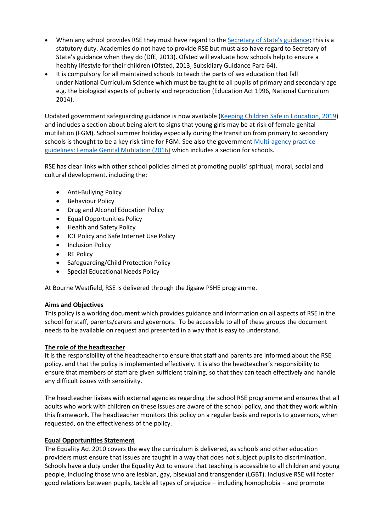- When any school provides RSE they must have regard to the [Secretary of State's guidance](http://webarchive.nationalarchives.gov.uk/20130401151715/https:/www.education.gov.uk/publications/eOrderingDownload/DfES-0116-2000%20SRE.pdf); this is a statutory duty. Academies do not have to provide RSE but must also have regard to Secretary of State's guidance when they do (DfE, 2013). Ofsted will evaluate how schools help to ensure a healthy lifestyle for their children (Ofsted, 2013, Subsidiary Guidance Para 64).
- It is compulsory for all maintained schools to teach the parts of sex education that fall under National Curriculum Science which must be taught to all pupils of primary and secondary age e.g. the biological aspects of puberty and reproduction (Education Act 1996, National Curriculum 2014).

Updated government safeguarding guidance is now available [\(Keeping Children Safe in Education, 2019](https://www.gov.uk/government/publications/keeping-children-safe-in-education--2)) and includes a section about being alert to signs that young girls may be at risk of female genital mutilation (FGM). School summer holiday especially during the transition from primary to secondary schools is thought to be a key risk time for FGM. See also the government [Multi-agency practice](https://www.gov.uk/government/publications/multi-agency-statutory-guidance-on-female-genital-mutilation)  [guidelines: Female Genital Mutilation \(2016\)](https://www.gov.uk/government/publications/multi-agency-statutory-guidance-on-female-genital-mutilation) which includes a section for schools.

RSE has clear links with other school policies aimed at promoting pupils' spiritual, moral, social and cultural development, including the:

- Anti-Bullying Policy
- Behaviour Policy
- Drug and Alcohol Education Policy
- Equal Opportunities Policy
- Health and Safety Policy
- ICT Policy and Safe Internet Use Policy
- Inclusion Policy
- RE Policy
- Safeguarding/Child Protection Policy
- Special Educational Needs Policy

At Bourne Westfield, RSE is delivered through the Jigsaw PSHE programme.

# **Aims and Objectives**

This policy is a working document which provides guidance and information on all aspects of RSE in the school for staff, parents/carers and governors. To be accessible to all of these groups the document needs to be available on request and presented in a way that is easy to understand.

# **The role of the headteacher**

It is the responsibility of the headteacher to ensure that staff and parents are informed about the RSE policy, and that the policy is implemented effectively. It is also the headteacher's responsibility to ensure that members of staff are given sufficient training, so that they can teach effectively and handle any difficult issues with sensitivity.

The headteacher liaises with external agencies regarding the school RSE programme and ensures that all adults who work with children on these issues are aware of the school policy, and that they work within this framework. The headteacher monitors this policy on a regular basis and reports to governors, when requested, on the effectiveness of the policy.

# **Equal Opportunities Statement**

The Equality Act 2010 covers the way the curriculum is delivered, as schools and other education providers must ensure that issues are taught in a way that does not subject pupils to discrimination. Schools have a duty under the Equality Act to ensure that teaching is accessible to all children and young people, including those who are lesbian, gay, bisexual and transgender (LGBT). Inclusive RSE will foster good relations between pupils, tackle all types of prejudice – including homophobia – and promote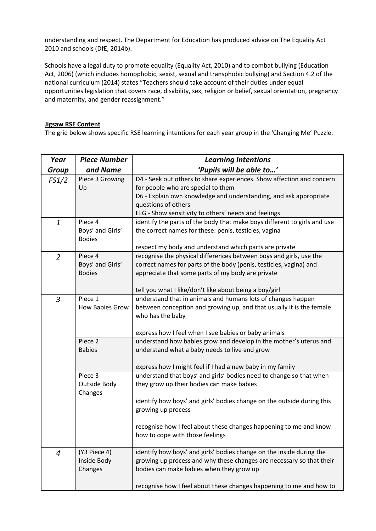understanding and respect. The Department for Education has produced advice on The Equality Act 2010 and schools (DfE, 2014b).

Schools have a legal duty to promote equality (Equality Act, 2010) and to combat bullying (Education Act, 2006) (which includes homophobic, sexist, sexual and transphobic bullying) and Section 4.2 of the national curriculum (2014) states "Teachers should take account of their duties under equal opportunities legislation that covers race, disability, sex, religion or belief, sexual orientation, pregnancy and maternity, and gender reassignment."

#### **Jigsaw RSE Content**

The grid below shows specific RSE learning intentions for each year group in the 'Changing Me' Puzzle.

| Year           | <b>Piece Number</b>                          | <b>Learning Intentions</b>                                                                                                                                                                                                                                                                                               |
|----------------|----------------------------------------------|--------------------------------------------------------------------------------------------------------------------------------------------------------------------------------------------------------------------------------------------------------------------------------------------------------------------------|
| <b>Group</b>   | and Name                                     | 'Pupils will be able to'                                                                                                                                                                                                                                                                                                 |
| FS1/2          | Piece 3 Growing<br>Up                        | D4 - Seek out others to share experiences. Show affection and concern<br>for people who are special to them<br>D6 - Explain own knowledge and understanding, and ask appropriate<br>questions of others<br>ELG - Show sensitivity to others' needs and feelings                                                          |
| $\mathbf{1}$   | Piece 4<br>Boys' and Girls'<br><b>Bodies</b> | identify the parts of the body that make boys different to girls and use<br>the correct names for these: penis, testicles, vagina<br>respect my body and understand which parts are private                                                                                                                              |
| $\overline{2}$ | Piece 4<br>Boys' and Girls'<br><b>Bodies</b> | recognise the physical differences between boys and girls, use the<br>correct names for parts of the body (penis, testicles, vagina) and<br>appreciate that some parts of my body are private<br>tell you what I like/don't like about being a boy/girl                                                                  |
| $\overline{3}$ | Piece 1<br>How Babies Grow                   | understand that in animals and humans lots of changes happen<br>between conception and growing up, and that usually it is the female<br>who has the baby<br>express how I feel when I see babies or baby animals                                                                                                         |
|                | Piece 2<br><b>Babies</b>                     | understand how babies grow and develop in the mother's uterus and<br>understand what a baby needs to live and grow<br>express how I might feel if I had a new baby in my family                                                                                                                                          |
|                | Piece 3<br>Outside Body<br>Changes           | understand that boys' and girls' bodies need to change so that when<br>they grow up their bodies can make babies<br>identify how boys' and girls' bodies change on the outside during this<br>growing up process<br>recognise how I feel about these changes happening to me and know<br>how to cope with those feelings |
| 4              | (Y3 Piece 4)<br>Inside Body<br>Changes       | identify how boys' and girls' bodies change on the inside during the<br>growing up process and why these changes are necessary so that their<br>bodies can make babies when they grow up<br>recognise how I feel about these changes happening to me and how to                                                          |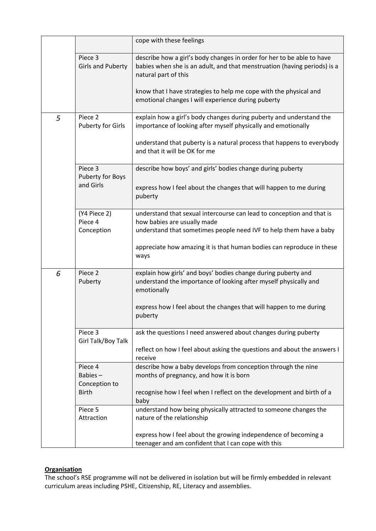|   |                                                     | cope with these feelings                                                                                                                                                                                                                                                                              |
|---|-----------------------------------------------------|-------------------------------------------------------------------------------------------------------------------------------------------------------------------------------------------------------------------------------------------------------------------------------------------------------|
|   | Piece 3<br><b>Girls and Puberty</b>                 | describe how a girl's body changes in order for her to be able to have<br>babies when she is an adult, and that menstruation (having periods) is a<br>natural part of this<br>know that I have strategies to help me cope with the physical and<br>emotional changes I will experience during puberty |
| 5 | Piece 2<br><b>Puberty for Girls</b>                 | explain how a girl's body changes during puberty and understand the<br>importance of looking after myself physically and emotionally<br>understand that puberty is a natural process that happens to everybody<br>and that it will be OK for me                                                       |
|   | Piece 3<br>Puberty for Boys<br>and Girls            | describe how boys' and girls' bodies change during puberty<br>express how I feel about the changes that will happen to me during<br>puberty                                                                                                                                                           |
|   | (Y4 Piece 2)<br>Piece 4<br>Conception               | understand that sexual intercourse can lead to conception and that is<br>how babies are usually made<br>understand that sometimes people need IVF to help them have a baby<br>appreciate how amazing it is that human bodies can reproduce in these<br>ways                                           |
| 6 | Piece 2<br>Puberty                                  | explain how girls' and boys' bodies change during puberty and<br>understand the importance of looking after myself physically and<br>emotionally<br>express how I feel about the changes that will happen to me during<br>puberty                                                                     |
|   | Piece 3<br>Girl Talk/Boy Talk                       | ask the questions I need answered about changes during puberty<br>reflect on how I feel about asking the questions and about the answers I<br>receive                                                                                                                                                 |
|   | Piece 4<br>Babies-<br>Conception to<br><b>Birth</b> | describe how a baby develops from conception through the nine<br>months of pregnancy, and how it is born<br>recognise how I feel when I reflect on the development and birth of a<br>baby                                                                                                             |
|   | Piece 5<br>Attraction                               | understand how being physically attracted to someone changes the<br>nature of the relationship<br>express how I feel about the growing independence of becoming a<br>teenager and am confident that I can cope with this                                                                              |

# **Organisation**

The school's RSE programme will not be delivered in isolation but will be firmly embedded in relevant curriculum areas including PSHE, Citizenship, RE, Literacy and assemblies.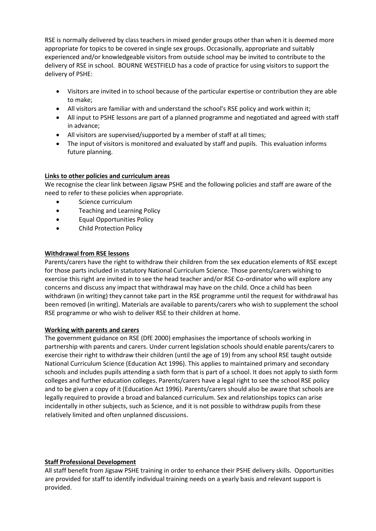RSE is normally delivered by class teachers in mixed gender groups other than when it is deemed more appropriate for topics to be covered in single sex groups. Occasionally, appropriate and suitably experienced and/or knowledgeable visitors from outside school may be invited to contribute to the delivery of RSE in school. BOURNE WESTFIELD has a code of practice for using visitors to support the delivery of PSHE:

- Visitors are invited in to school because of the particular expertise or contribution they are able to make;
- All visitors are familiar with and understand the school's RSE policy and work within it;
- All input to PSHE lessons are part of a planned programme and negotiated and agreed with staff in advance;
- All visitors are supervised/supported by a member of staff at all times;
- The input of visitors is monitored and evaluated by staff and pupils. This evaluation informs future planning.

# **Links to other policies and curriculum areas**

We recognise the clear link between Jigsaw PSHE and the following policies and staff are aware of the need to refer to these policies when appropriate.

- Science curriculum
- Teaching and Learning Policy
- Equal Opportunities Policy
- Child Protection Policy

# **Withdrawal from RSE lessons**

Parents/carers have the right to withdraw their children from the sex education elements of RSE except for those parts included in statutory National Curriculum Science. Those parents/carers wishing to exercise this right are invited in to see the head teacher and/or RSE Co-ordinator who will explore any concerns and discuss any impact that withdrawal may have on the child. Once a child has been withdrawn (in writing) they cannot take part in the RSE programme until the request for withdrawal has been removed (in writing). Materials are available to parents/carers who wish to supplement the school RSE programme or who wish to deliver RSE to their children at home.

#### **Working with parents and carers**

The government guidance on RSE (DfE 2000) emphasises the importance of schools working in partnership with parents and carers. Under current legislation schools should enable parents/carers to exercise their right to withdraw their children (until the age of 19) from any school RSE taught outside National Curriculum Science (Education Act 1996). This applies to maintained primary and secondary schools and includes pupils attending a sixth form that is part of a school. It does not apply to sixth form colleges and further education colleges. Parents/carers have a legal right to see the school RSE policy and to be given a copy of it (Education Act 1996). Parents/carers should also be aware that schools are legally required to provide a broad and balanced curriculum. Sex and relationships topics can arise incidentally in other subjects, such as Science, and it is not possible to withdraw pupils from these relatively limited and often unplanned discussions.

#### **Staff Professional Development**

All staff benefit from Jigsaw PSHE training in order to enhance their PSHE delivery skills. Opportunities are provided for staff to identify individual training needs on a yearly basis and relevant support is provided.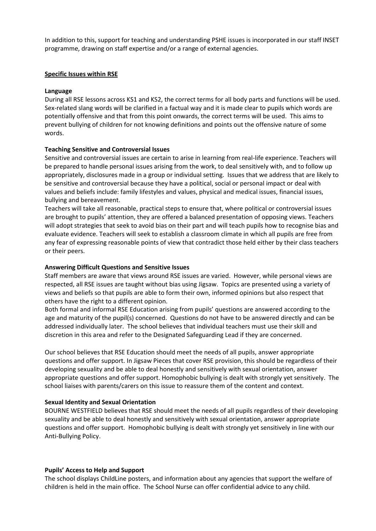In addition to this, support for teaching and understanding PSHE issues is incorporated in our staff INSET programme, drawing on staff expertise and/or a range of external agencies.

#### **Specific Issues within RSE**

#### **Language**

During all RSE lessons across KS1 and KS2, the correct terms for all body parts and functions will be used. Sex-related slang words will be clarified in a factual way and it is made clear to pupils which words are potentially offensive and that from this point onwards, the correct terms will be used. This aims to prevent bullying of children for not knowing definitions and points out the offensive nature of some words.

#### **Teaching Sensitive and Controversial Issues**

Sensitive and controversial issues are certain to arise in learning from real-life experience. Teachers will be prepared to handle personal issues arising from the work, to deal sensitively with, and to follow up appropriately, disclosures made in a group or individual setting. Issues that we address that are likely to be sensitive and controversial because they have a political, social or personal impact or deal with values and beliefs include: family lifestyles and values, physical and medical issues, financial issues, bullying and bereavement.

Teachers will take all reasonable, practical steps to ensure that, where political or controversial issues are brought to pupils' attention, they are offered a balanced presentation of opposing views. Teachers will adopt strategies that seek to avoid bias on their part and will teach pupils how to recognise bias and evaluate evidence. Teachers will seek to establish a classroom climate in which all pupils are free from any fear of expressing reasonable points of view that contradict those held either by their class teachers or their peers.

#### **Answering Difficult Questions and Sensitive Issues**

Staff members are aware that views around RSE issues are varied. However, while personal views are respected, all RSE issues are taught without bias using Jigsaw. Topics are presented using a variety of views and beliefs so that pupils are able to form their own, informed opinions but also respect that others have the right to a different opinion.

Both formal and informal RSE Education arising from pupils' questions are answered according to the age and maturity of the pupil(s) concerned. Questions do not have to be answered directly and can be addressed individually later. The school believes that individual teachers must use their skill and discretion in this area and refer to the Designated Safeguarding Lead if they are concerned.

Our school believes that RSE Education should meet the needs of all pupils, answer appropriate questions and offer support. In Jigsaw Pieces that cover RSE provision, this should be regardless of their developing sexuality and be able to deal honestly and sensitively with sexual orientation, answer appropriate questions and offer support. Homophobic bullying is dealt with strongly yet sensitively. The school liaises with parents/carers on this issue to reassure them of the content and context.

#### **Sexual Identity and Sexual Orientation**

BOURNE WESTFIELD believes that RSE should meet the needs of all pupils regardless of their developing sexuality and be able to deal honestly and sensitively with sexual orientation, answer appropriate questions and offer support. Homophobic bullying is dealt with strongly yet sensitively in line with our Anti-Bullying Policy.

#### **Pupils' Access to Help and Support**

The school displays ChildLine posters, and information about any agencies that support the welfare of children is held in the main office. The School Nurse can offer confidential advice to any child.